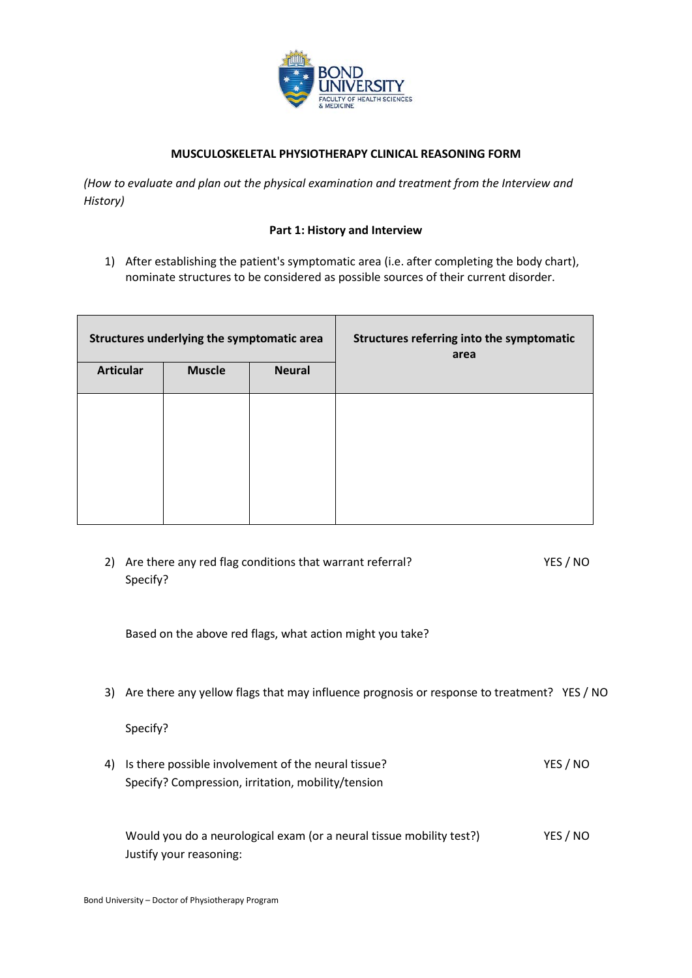

# **MUSCULOSKELETAL PHYSIOTHERAPY CLINICAL REASONING FORM**

*(How to evaluate and plan out the physical examination and treatment from the Interview and History)*

#### **Part 1: History and Interview**

1) After establishing the patient's symptomatic area (i.e. after completing the body chart), nominate structures to be considered as possible sources of their current disorder.

| Structures underlying the symptomatic area |               |               | Structures referring into the symptomatic<br>area |
|--------------------------------------------|---------------|---------------|---------------------------------------------------|
| <b>Articular</b>                           | <b>Muscle</b> | <b>Neural</b> |                                                   |
|                                            |               |               |                                                   |
|                                            |               |               |                                                   |
|                                            |               |               |                                                   |
|                                            |               |               |                                                   |

2) Are there any red flag conditions that warrant referral? YES / NO Specify?

Based on the above red flags, what action might you take?

3) Are there any yellow flags that may influence prognosis or response to treatment? YES / NO

Specify?

4) Is there possible involvement of the neural tissue? The new YES / NO Specify? Compression, irritation, mobility/tension

Would you do a neurological exam (or a neural tissue mobility test?) YES / NO Justify your reasoning: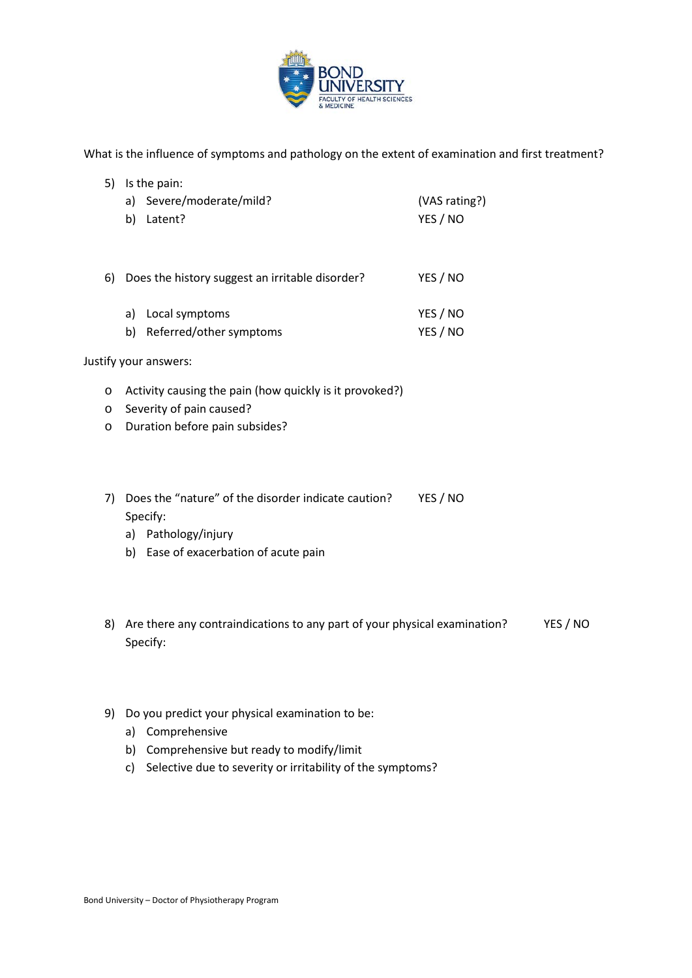

What is the influence of symptoms and pathology on the extent of examination and first treatment?

| Is the pain:                  |                                                 |
|-------------------------------|-------------------------------------------------|
| Severe/moderate/mild?<br>a)   | (VAS rating?)                                   |
| b)<br>Latent?                 | YES / NO                                        |
|                               |                                                 |
|                               |                                                 |
|                               | YES / NO                                        |
| Local symptoms<br>a)          | YES / NO                                        |
| Referred/other symptoms<br>b) | YES / NO                                        |
| Justify your answers:         |                                                 |
|                               | Does the history suggest an irritable disorder? |

- o Activity causing the pain (how quickly is it provoked?)
- o Severity of pain caused?
- o Duration before pain subsides?
- 7) Does the "nature" of the disorder indicate caution? YES / NO Specify:
	- a) Pathology/injury
	- b) Ease of exacerbation of acute pain
- 8) Are there any contraindications to any part of your physical examination? YES / NO Specify:
- 9) Do you predict your physical examination to be:
	- a) Comprehensive
	- b) Comprehensive but ready to modify/limit
	- c) Selective due to severity or irritability of the symptoms?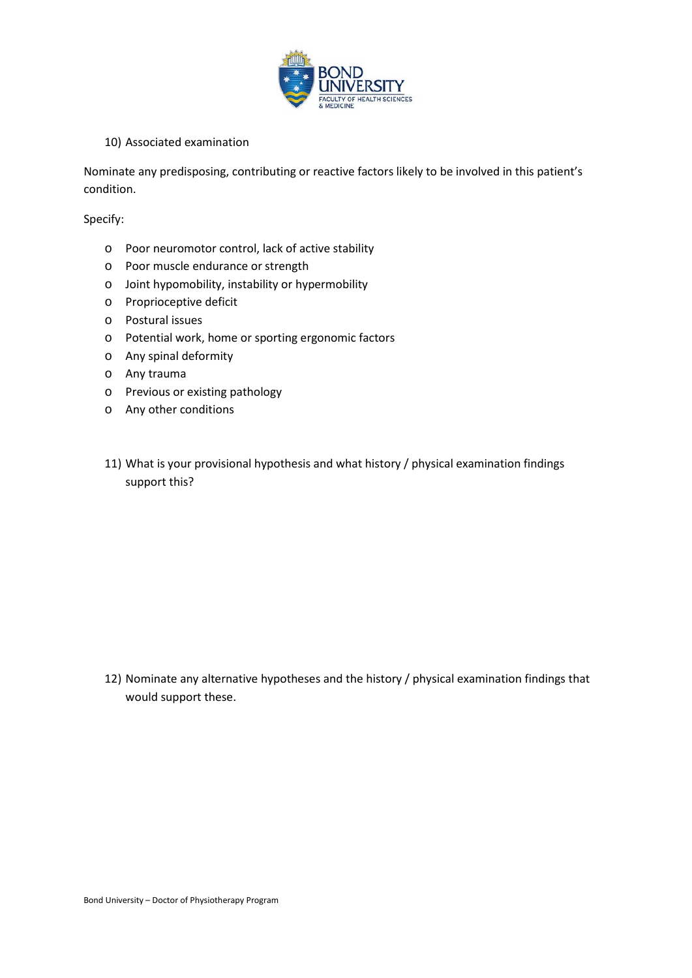

# 10) Associated examination

Nominate any predisposing, contributing or reactive factors likely to be involved in this patient's condition.

Specify:

- o Poor neuromotor control, lack of active stability
- o Poor muscle endurance or strength
- o Joint hypomobility, instability or hypermobility
- o Proprioceptive deficit
- o Postural issues
- o Potential work, home or sporting ergonomic factors
- o Any spinal deformity
- o Any trauma
- o Previous or existing pathology
- o Any other conditions
- 11) What is your provisional hypothesis and what history / physical examination findings support this?

12) Nominate any alternative hypotheses and the history / physical examination findings that would support these.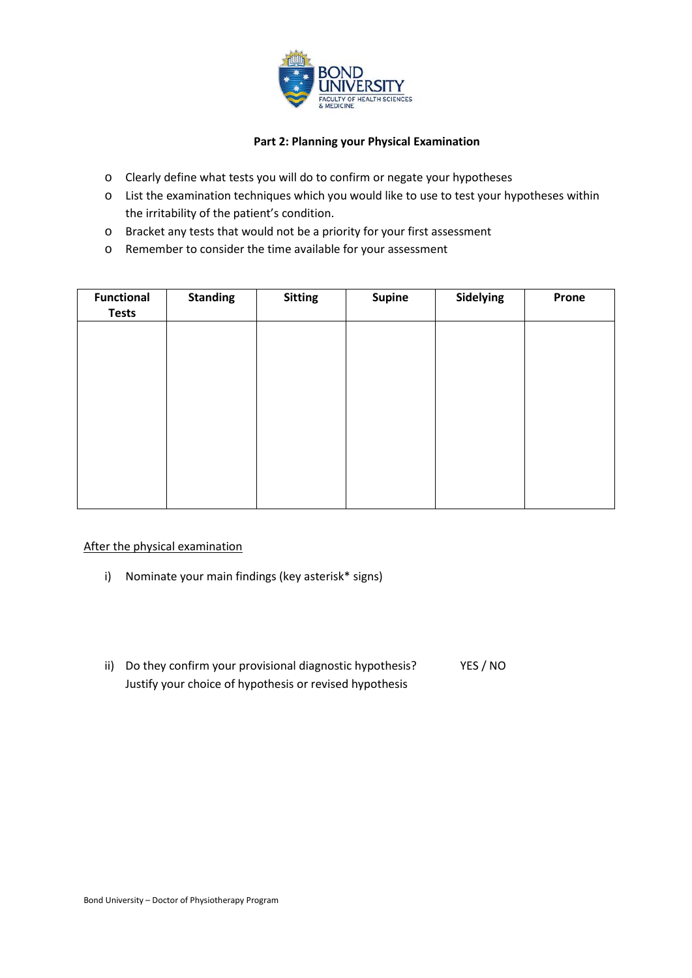

# **Part 2: Planning your Physical Examination**

- o Clearly define what tests you will do to confirm or negate your hypotheses
- o List the examination techniques which you would like to use to test your hypotheses within the irritability of the patient's condition.
- o Bracket any tests that would not be a priority for your first assessment
- o Remember to consider the time available for your assessment

| <b>Functional</b><br><b>Tests</b> | <b>Standing</b> | <b>Sitting</b> | <b>Supine</b> | Sidelying | Prone |
|-----------------------------------|-----------------|----------------|---------------|-----------|-------|
|                                   |                 |                |               |           |       |
|                                   |                 |                |               |           |       |
|                                   |                 |                |               |           |       |
|                                   |                 |                |               |           |       |
|                                   |                 |                |               |           |       |
|                                   |                 |                |               |           |       |

After the physical examination

- i) Nominate your main findings (key asterisk\* signs)
- ii) Do they confirm your provisional diagnostic hypothesis? YES / NO Justify your choice of hypothesis or revised hypothesis